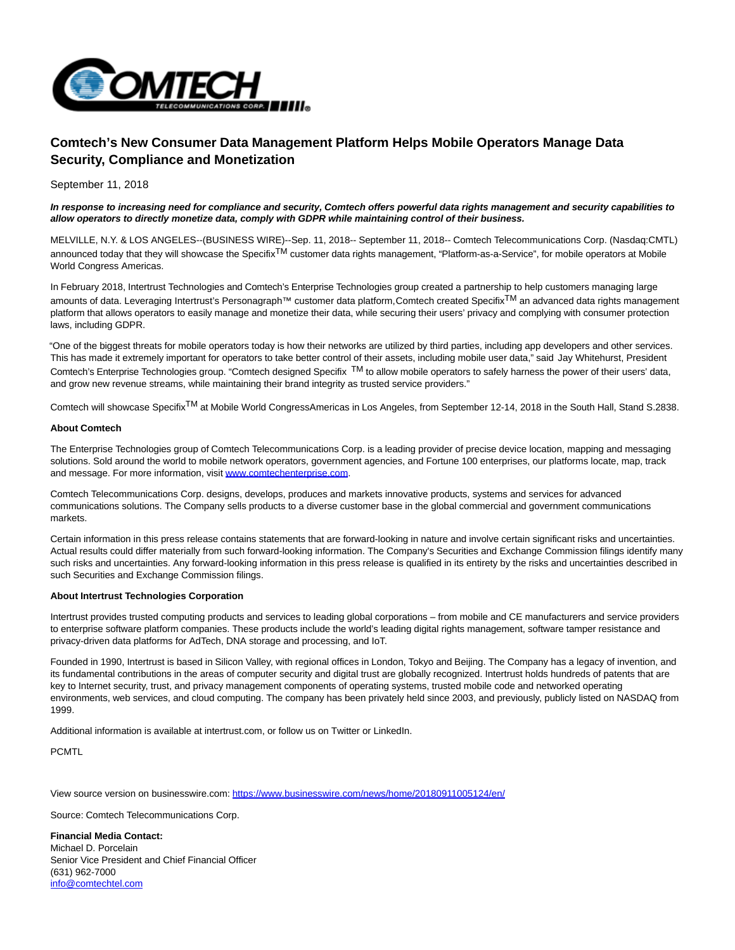

## **Comtech's New Consumer Data Management Platform Helps Mobile Operators Manage Data Security, Compliance and Monetization**

September 11, 2018

## **In response to increasing need for compliance and security, Comtech offers powerful data rights management and security capabilities to allow operators to directly monetize data, comply with GDPR while maintaining control of their business.**

MELVILLE, N.Y. & LOS ANGELES--(BUSINESS WIRE)--Sep. 11, 2018-- September 11, 2018-- Comtech Telecommunications Corp. (Nasdaq:CMTL) announced today that they will showcase the Specifix<sup>TM</sup> customer data rights management, "Platform-as-a-Service", for mobile operators at Mobile World Congress Americas.

In February 2018, Intertrust Technologies and Comtech's Enterprise Technologies group created a partnership to help customers managing large amounts of data. Leveraging Intertrust's Personagraph™ customer data platform, Comtech created SpecifixTM an advanced data rights management platform that allows operators to easily manage and monetize their data, while securing their users' privacy and complying with consumer protection laws, including GDPR.

"One of the biggest threats for mobile operators today is how their networks are utilized by third parties, including app developers and other services. This has made it extremely important for operators to take better control of their assets, including mobile user data," said Jay Whitehurst, President Comtech's Enterprise Technologies group. "Comtech designed Specifix TM to allow mobile operators to safely harness the power of their users' data, and grow new revenue streams, while maintaining their brand integrity as trusted service providers."

Comtech will showcase SpecifixTM at Mobile World CongressAmericas in Los Angeles, from September 12-14, 2018 in the South Hall, Stand S.2838.

## **About Comtech**

The Enterprise Technologies group of Comtech Telecommunications Corp. is a leading provider of precise device location, mapping and messaging solutions. Sold around the world to mobile network operators, government agencies, and Fortune 100 enterprises, our platforms locate, map, track and message. For more information, visit [www.comtechenterprise.com.](http://cts.businesswire.com/ct/CT?id=smartlink&url=http%3A%2F%2Fwww.comtechenterprise.com&esheet=51864185&newsitemid=20180911005124&lan=en-US&anchor=www.comtechenterprise.com&index=1&md5=1f287dbf1cd3ec83de3b134280d28205)

Comtech Telecommunications Corp. designs, develops, produces and markets innovative products, systems and services for advanced communications solutions. The Company sells products to a diverse customer base in the global commercial and government communications markets.

Certain information in this press release contains statements that are forward-looking in nature and involve certain significant risks and uncertainties. Actual results could differ materially from such forward-looking information. The Company's Securities and Exchange Commission filings identify many such risks and uncertainties. Any forward-looking information in this press release is qualified in its entirety by the risks and uncertainties described in such Securities and Exchange Commission filings.

## **About Intertrust Technologies Corporation**

Intertrust provides trusted computing products and services to leading global corporations – from mobile and CE manufacturers and service providers to enterprise software platform companies. These products include the world's leading digital rights management, software tamper resistance and privacy-driven data platforms for AdTech, DNA storage and processing, and IoT.

Founded in 1990, Intertrust is based in Silicon Valley, with regional offices in London, Tokyo and Beijing. The Company has a legacy of invention, and its fundamental contributions in the areas of computer security and digital trust are globally recognized. Intertrust holds hundreds of patents that are key to Internet security, trust, and privacy management components of operating systems, trusted mobile code and networked operating environments, web services, and cloud computing. The company has been privately held since 2003, and previously, publicly listed on NASDAQ from 1999.

Additional information is available at intertrust.com, or follow us on Twitter or LinkedIn.

PCMTL

View source version on businesswire.com:<https://www.businesswire.com/news/home/20180911005124/en/>

Source: Comtech Telecommunications Corp.

**Financial Media Contact:** Michael D. Porcelain Senior Vice President and Chief Financial Officer (631) 962-7000 [info@comtechtel.com](mailto:info@comtechtel.com)